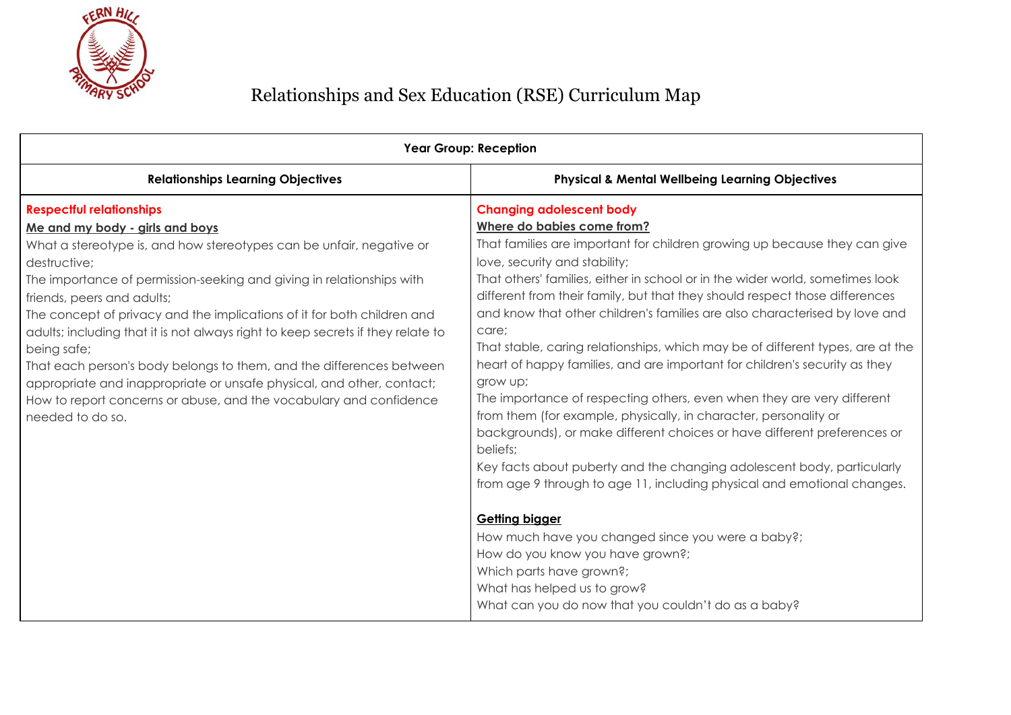

|                                                                                                                                                                                                                                                                                                                                                                                                                                                                                                                                                                                                                                                                                           | <b>Year Group: Reception</b>                                                                                                                                                                                                                                                                                                                                                                                                                                                                                                                                                                                                                                                                                                                                                                                                                                                                                                                                                                                                                                                                                                                                                                                                                  |  |
|-------------------------------------------------------------------------------------------------------------------------------------------------------------------------------------------------------------------------------------------------------------------------------------------------------------------------------------------------------------------------------------------------------------------------------------------------------------------------------------------------------------------------------------------------------------------------------------------------------------------------------------------------------------------------------------------|-----------------------------------------------------------------------------------------------------------------------------------------------------------------------------------------------------------------------------------------------------------------------------------------------------------------------------------------------------------------------------------------------------------------------------------------------------------------------------------------------------------------------------------------------------------------------------------------------------------------------------------------------------------------------------------------------------------------------------------------------------------------------------------------------------------------------------------------------------------------------------------------------------------------------------------------------------------------------------------------------------------------------------------------------------------------------------------------------------------------------------------------------------------------------------------------------------------------------------------------------|--|
| <b>Relationships Learning Objectives</b>                                                                                                                                                                                                                                                                                                                                                                                                                                                                                                                                                                                                                                                  | <b>Physical &amp; Mental Wellbeing Learning Objectives</b>                                                                                                                                                                                                                                                                                                                                                                                                                                                                                                                                                                                                                                                                                                                                                                                                                                                                                                                                                                                                                                                                                                                                                                                    |  |
| <b>Respectful relationships</b><br>Me and my body - girls and boys<br>What a stereotype is, and how stereotypes can be unfair, negative or<br>destructive;<br>The importance of permission-seeking and giving in relationships with<br>friends, peers and adults;<br>The concept of privacy and the implications of it for both children and<br>adults; including that it is not always right to keep secrets if they relate to<br>being safe;<br>That each person's body belongs to them, and the differences between<br>appropriate and inappropriate or unsafe physical, and other, contact;<br>How to report concerns or abuse, and the vocabulary and confidence<br>needed to do so. | <b>Changing adolescent body</b><br>Where do babies come from?<br>That families are important for children growing up because they can give<br>love, security and stability;<br>That others' families, either in school or in the wider world, sometimes look<br>different from their family, but that they should respect those differences<br>and know that other children's families are also characterised by love and<br>care;<br>That stable, caring relationships, which may be of different types, are at the<br>heart of happy families, and are important for children's security as they<br>grow up;<br>The importance of respecting others, even when they are very different<br>from them (for example, physically, in character, personality or<br>backgrounds), or make different choices or have different preferences or<br>beliefs;<br>Key facts about puberty and the changing adolescent body, particularly<br>from age 9 through to age 11, including physical and emotional changes.<br><b>Getting bigger</b><br>How much have you changed since you were a baby?;<br>How do you know you have grown?;<br>Which parts have grown?;<br>What has helped us to grow?<br>What can you do now that you couldn't do as a baby? |  |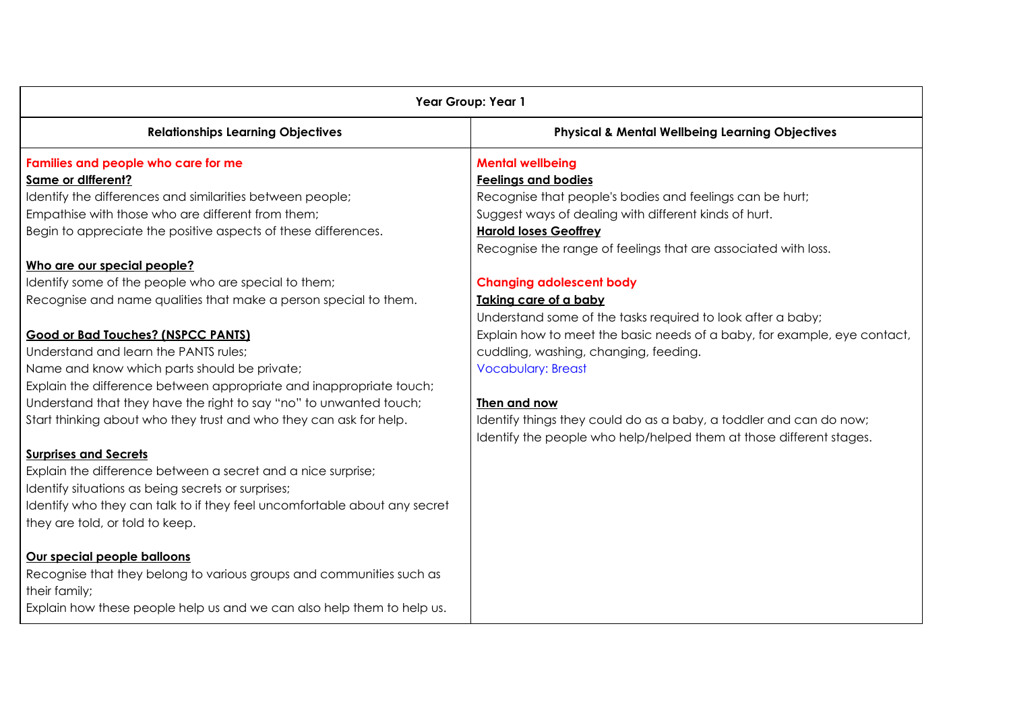| Year Group: Year 1                                                                                                                                                                                                              |                                                                                                                                           |
|---------------------------------------------------------------------------------------------------------------------------------------------------------------------------------------------------------------------------------|-------------------------------------------------------------------------------------------------------------------------------------------|
| <b>Relationships Learning Objectives</b>                                                                                                                                                                                        | <b>Physical &amp; Mental Wellbeing Learning Objectives</b>                                                                                |
| Families and people who care for me<br>Same or different?                                                                                                                                                                       | <b>Mental wellbeing</b><br><b>Feelings and bodies</b>                                                                                     |
| Identify the differences and similarities between people;<br>Empathise with those who are different from them;                                                                                                                  | Recognise that people's bodies and feelings can be hurt;<br>Suggest ways of dealing with different kinds of hurt.                         |
| Begin to appreciate the positive aspects of these differences.                                                                                                                                                                  | <b>Harold loses Geoffrey</b><br>Recognise the range of feelings that are associated with loss.                                            |
| Who are our special people?                                                                                                                                                                                                     |                                                                                                                                           |
| Identify some of the people who are special to them;                                                                                                                                                                            | <b>Changing adolescent body</b>                                                                                                           |
| Recognise and name qualities that make a person special to them.                                                                                                                                                                | Taking care of a baby<br>Understand some of the tasks required to look after a baby;                                                      |
| <b>Good or Bad Touches? (NSPCC PANTS)</b>                                                                                                                                                                                       | Explain how to meet the basic needs of a baby, for example, eye contact,                                                                  |
| Understand and learn the PANTS rules;                                                                                                                                                                                           | cuddling, washing, changing, feeding.                                                                                                     |
| Name and know which parts should be private;                                                                                                                                                                                    | <b>Vocabulary: Breast</b>                                                                                                                 |
| Explain the difference between appropriate and inappropriate touch;                                                                                                                                                             |                                                                                                                                           |
| Understand that they have the right to say "no" to unwanted touch;                                                                                                                                                              | Then and now                                                                                                                              |
| Start thinking about who they trust and who they can ask for help.                                                                                                                                                              | Identify things they could do as a baby, a toddler and can do now;<br>Identify the people who help/helped them at those different stages. |
| <b>Surprises and Secrets</b><br>Explain the difference between a secret and a nice surprise;<br>Identify situations as being secrets or surprises;<br>Identify who they can talk to if they feel uncomfortable about any secret |                                                                                                                                           |
| they are told, or told to keep.                                                                                                                                                                                                 |                                                                                                                                           |
| Our special people balloons<br>Recognise that they belong to various groups and communities such as<br>their family;<br>Explain how these people help us and we can also help them to help us.                                  |                                                                                                                                           |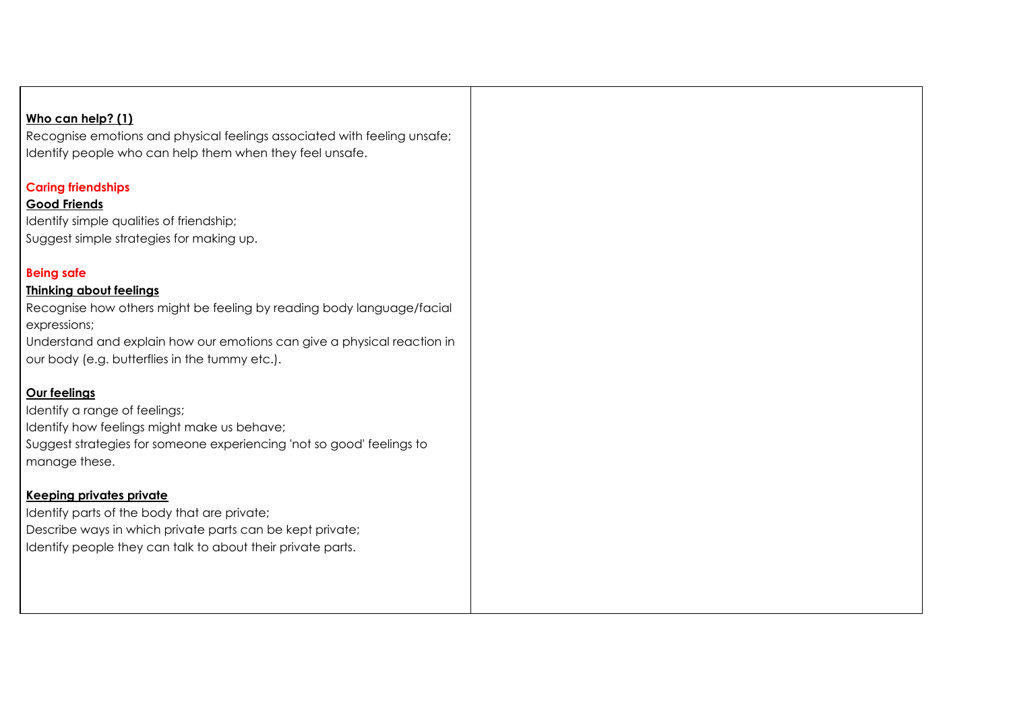# **Who can help? (1)**

Recognise emotions and physical feelings associated with feeling unsafe; Identify people who can help them when they feel unsafe.

# **Caring friendships**

# **Good Friends**

Identify simple qualities of friendship; Suggest simple strategies for making up.

# **Being safe**

## **Thinking about feelings**

Recognise how others might be feeling by reading body language/facial expressions;

Understand and explain how our emotions can give a physical reaction in our body (e.g. butterflies in the tummy etc.).

# **Our feelings**

Identify a range of feelings; Identify how feelings might make us behave; Suggest strategies for someone experiencing 'not so good' feelings to manage these.

## **Keeping privates private**

Identify parts of the body that are private; Describe ways in which private parts can be kept private; Identify people they can talk to about their private parts.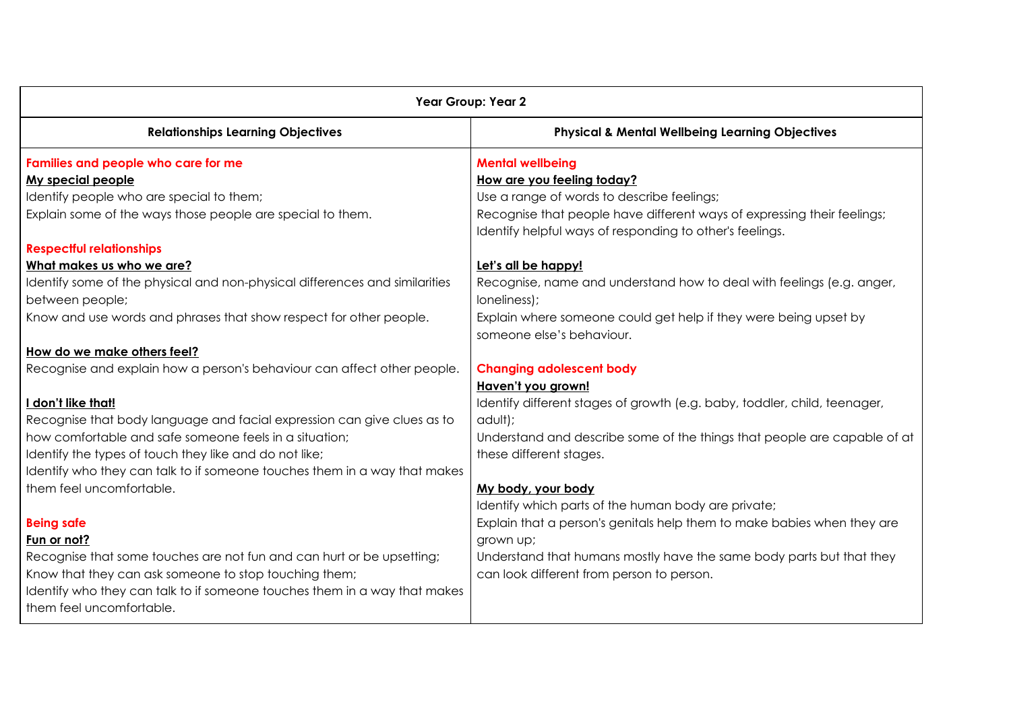| <b>Year Group: Year 2</b>                                                                             |                                                                                                                                     |
|-------------------------------------------------------------------------------------------------------|-------------------------------------------------------------------------------------------------------------------------------------|
| <b>Relationships Learning Objectives</b>                                                              | <b>Physical &amp; Mental Wellbeing Learning Objectives</b>                                                                          |
| Families and people who care for me                                                                   | <b>Mental wellbeing</b>                                                                                                             |
| My special people                                                                                     | How are you feeling today?                                                                                                          |
| Identify people who are special to them;                                                              | Use a range of words to describe feelings;                                                                                          |
| Explain some of the ways those people are special to them.                                            | Recognise that people have different ways of expressing their feelings;<br>Identify helpful ways of responding to other's feelings. |
| <b>Respectful relationships</b>                                                                       |                                                                                                                                     |
| What makes us who we are?                                                                             | Let's all be happy!                                                                                                                 |
| Identify some of the physical and non-physical differences and similarities<br>between people;        | Recognise, name and understand how to deal with feelings (e.g. anger,<br>loneliness);                                               |
| Know and use words and phrases that show respect for other people.                                    | Explain where someone could get help if they were being upset by<br>someone else's behaviour.                                       |
| How do we make others feel?                                                                           |                                                                                                                                     |
| Recognise and explain how a person's behaviour can affect other people.                               | <b>Changing adolescent body</b>                                                                                                     |
|                                                                                                       | Haven't you grown!                                                                                                                  |
| I don't like that!                                                                                    | Identify different stages of growth (e.g. baby, toddler, child, teenager,                                                           |
| Recognise that body language and facial expression can give clues as to                               | adult);                                                                                                                             |
| how comfortable and safe someone feels in a situation:                                                | Understand and describe some of the things that people are capable of at                                                            |
| Identify the types of touch they like and do not like;                                                | these different stages.                                                                                                             |
| Identify who they can talk to if someone touches them in a way that makes                             |                                                                                                                                     |
| them feel uncomfortable.                                                                              | My body, your body                                                                                                                  |
|                                                                                                       | Identify which parts of the human body are private;                                                                                 |
| <b>Being safe</b>                                                                                     | Explain that a person's genitals help them to make babies when they are                                                             |
| Fun or not?                                                                                           | grown up;                                                                                                                           |
| Recognise that some touches are not fun and can hurt or be upsetting;                                 | Understand that humans mostly have the same body parts but that they                                                                |
| Know that they can ask someone to stop touching them;                                                 | can look different from person to person.                                                                                           |
| Identify who they can talk to if someone touches them in a way that makes<br>them feel uncomfortable. |                                                                                                                                     |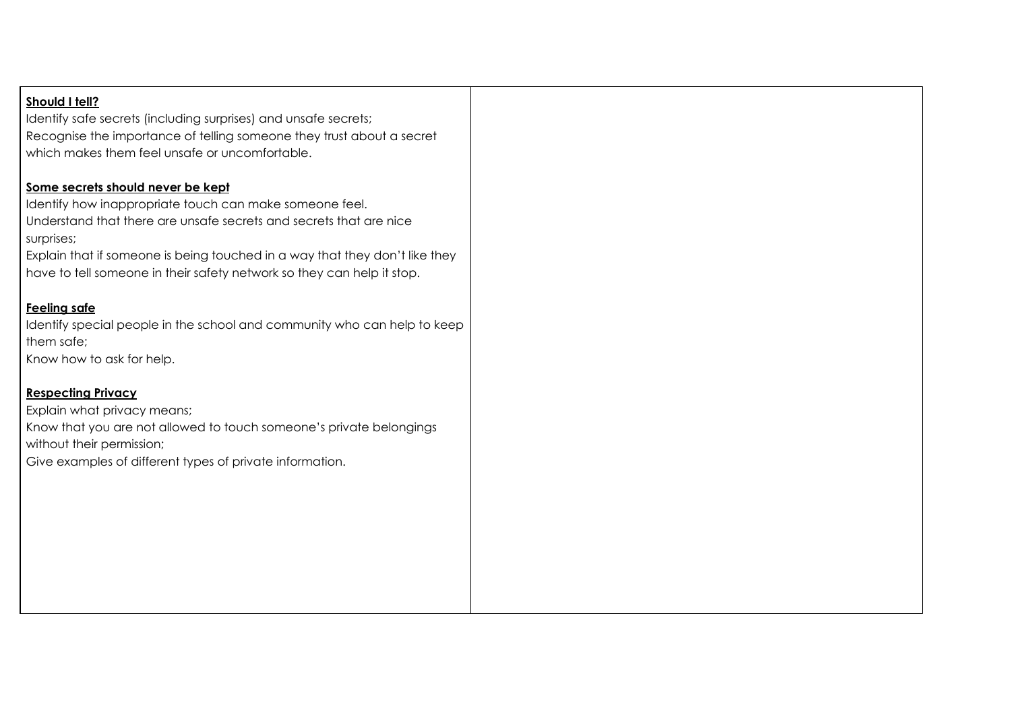## **Should I tell?**

Identify safe secrets (including surprises) and unsafe secrets; Recognise the importance of telling someone they trust about a secret which makes them feel unsafe or uncomfortable.

#### **Some secrets should never be kept**

Identify how inappropriate touch can make someone feel. Understand that there are unsafe secrets and secrets that are nice surprises;

Explain that if someone is being touched in a way that they don't like they have to tell someone in their safety network so they can help it stop.

## **Feeling safe**

Identify special people in the school and community who can help to keep them safe;

Know how to ask for help.

## **Respecting Privacy**

Explain what privacy means; Know that you are not allowed to touch someone's private belongings without their permission; Give examples of different types of private information.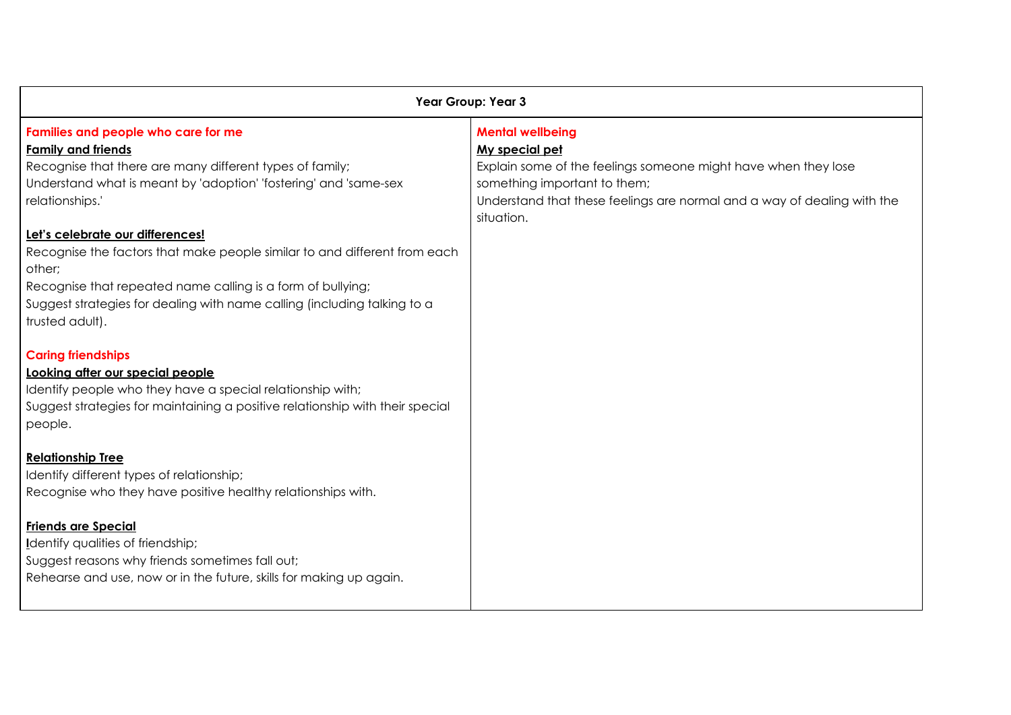| Year Group: Year 3                                                            |                                                                                       |
|-------------------------------------------------------------------------------|---------------------------------------------------------------------------------------|
| Families and people who care for me                                           | <b>Mental wellbeing</b>                                                               |
| <b>Family and friends</b>                                                     | My special pet                                                                        |
| Recognise that there are many different types of family;                      | Explain some of the feelings someone might have when they lose                        |
| Understand what is meant by 'adoption' 'fostering' and 'same-sex              | something important to them;                                                          |
| relationships.'                                                               | Understand that these feelings are normal and a way of dealing with the<br>situation. |
| Let's celebrate our differences!                                              |                                                                                       |
| Recognise the factors that make people similar to and different from each     |                                                                                       |
| other;                                                                        |                                                                                       |
| Recognise that repeated name calling is a form of bullying;                   |                                                                                       |
| Suggest strategies for dealing with name calling (including talking to a      |                                                                                       |
| trusted adult).                                                               |                                                                                       |
| <b>Caring friendships</b>                                                     |                                                                                       |
| Looking after our special people                                              |                                                                                       |
| Identify people who they have a special relationship with;                    |                                                                                       |
| Suggest strategies for maintaining a positive relationship with their special |                                                                                       |
| people.                                                                       |                                                                                       |
| <b>Relationship Tree</b>                                                      |                                                                                       |
| Identify different types of relationship;                                     |                                                                                       |
| Recognise who they have positive healthy relationships with.                  |                                                                                       |
|                                                                               |                                                                                       |
| <b>Friends are Special</b>                                                    |                                                                                       |
| Identify qualities of friendship;                                             |                                                                                       |
| Suggest reasons why friends sometimes fall out;                               |                                                                                       |
| Rehearse and use, now or in the future, skills for making up again.           |                                                                                       |
|                                                                               |                                                                                       |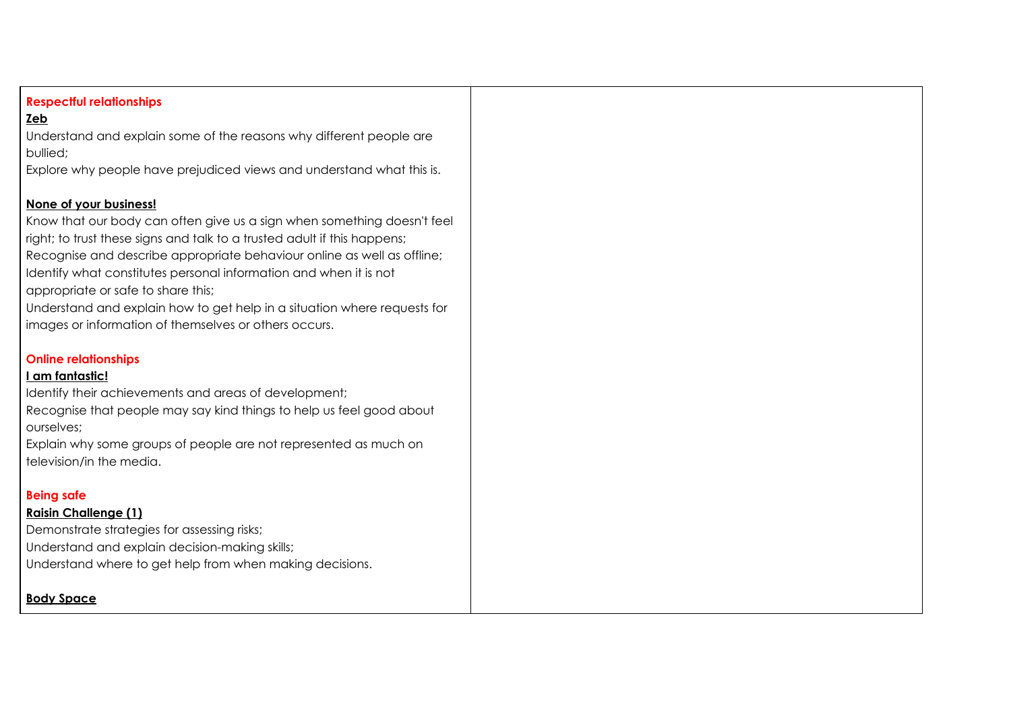# **Respectful relationships**

# **Zeb**

Understand and explain some of the reasons why different people are bullied;

Explore why people have prejudiced views and understand what this is.

# **None of your business!**

Know that our body can often give us a sign when something doesn't feel right; to trust these signs and talk to a trusted adult if this happens; Recognise and describe appropriate behaviour online as well as offline; Identify what constitutes personal information and when it is not appropriate or safe to share this; Understand and explain how to get help in a situation where requests for

images or information of themselves or others occurs.

## **Online relationships**

## **I am fantastic!**

Identify their achievements and areas of development; Recognise that people may say kind things to help us feel good about ourselves;

Explain why some groups of people are not represented as much on television/in the media.

## **Being safe**

## **Raisin Challenge (1)**

Demonstrate strategies for assessing risks; Understand and explain decision-making skills; Understand where to get help from when making decisions.

# **Body Space**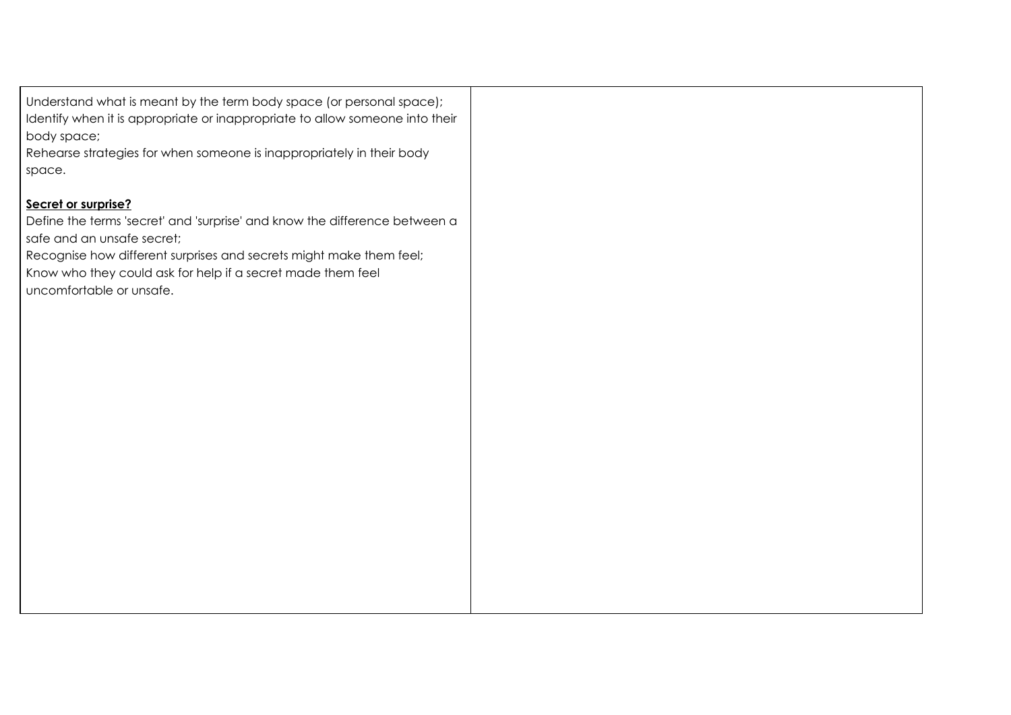Understand what is meant by the term body space (or personal space); Identify when it is appropriate or inappropriate to allow someone into their body space;

Rehearse strategies for when someone is inappropriately in their body space.

# **Secret or surprise?**

Define the terms 'secret' and 'surprise' and know the difference between a safe and an unsafe secret;

Recognise how different surprises and secrets might make them feel; Know who they could ask for help if a secret made them feel uncomfortable or unsafe.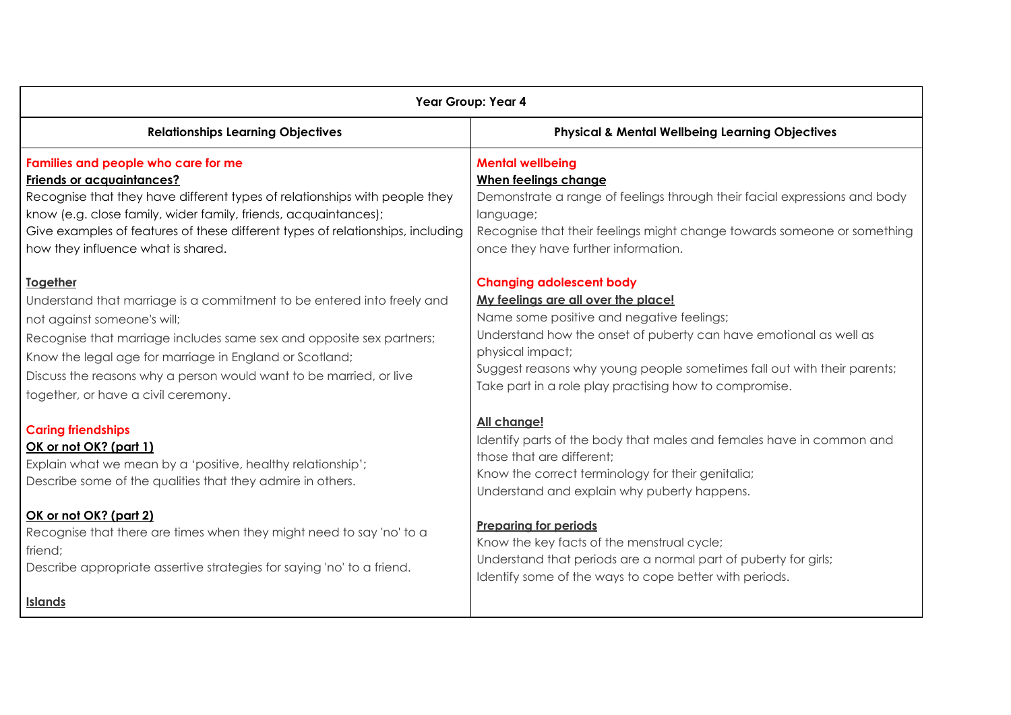| Year Group: Year 4                                                                                                                                                                                                                                                                                                                                                       |                                                                                                                                                                                                                                                                                                                                                   |  |
|--------------------------------------------------------------------------------------------------------------------------------------------------------------------------------------------------------------------------------------------------------------------------------------------------------------------------------------------------------------------------|---------------------------------------------------------------------------------------------------------------------------------------------------------------------------------------------------------------------------------------------------------------------------------------------------------------------------------------------------|--|
| <b>Relationships Learning Objectives</b>                                                                                                                                                                                                                                                                                                                                 | <b>Physical &amp; Mental Wellbeing Learning Objectives</b>                                                                                                                                                                                                                                                                                        |  |
| Families and people who care for me<br><b>Friends or acquaintances?</b><br>Recognise that they have different types of relationships with people they<br>know (e.g. close family, wider family, friends, acquaintances);<br>Give examples of features of these different types of relationships, including<br>how they influence what is shared.                         | <b>Mental wellbeing</b><br>When feelings change<br>Demonstrate a range of feelings through their facial expressions and body<br>language;<br>Recognise that their feelings might change towards someone or something<br>once they have further information.                                                                                       |  |
| <b>Together</b><br>Understand that marriage is a commitment to be entered into freely and<br>not against someone's will;<br>Recognise that marriage includes same sex and opposite sex partners;<br>Know the legal age for marriage in England or Scotland;<br>Discuss the reasons why a person would want to be married, or live<br>together, or have a civil ceremony. | <b>Changing adolescent body</b><br>My feelings are all over the place!<br>Name some positive and negative feelings;<br>Understand how the onset of puberty can have emotional as well as<br>physical impact;<br>Suggest reasons why young people sometimes fall out with their parents;<br>Take part in a role play practising how to compromise. |  |
| <b>Caring friendships</b><br>OK or not OK? (part 1)<br>Explain what we mean by a 'positive, healthy relationship';<br>Describe some of the qualities that they admire in others.                                                                                                                                                                                         | All change!<br>Identify parts of the body that males and females have in common and<br>those that are different;<br>Know the correct terminology for their genitalia;<br>Understand and explain why puberty happens.                                                                                                                              |  |
| OK or not OK? (part 2)<br>Recognise that there are times when they might need to say 'no' to a<br>friend;<br>Describe appropriate assertive strategies for saying 'no' to a friend.                                                                                                                                                                                      | <b>Preparing for periods</b><br>Know the key facts of the menstrual cycle;<br>Understand that periods are a normal part of puberty for girls;<br>Identify some of the ways to cope better with periods.                                                                                                                                           |  |
| <b>Islands</b>                                                                                                                                                                                                                                                                                                                                                           |                                                                                                                                                                                                                                                                                                                                                   |  |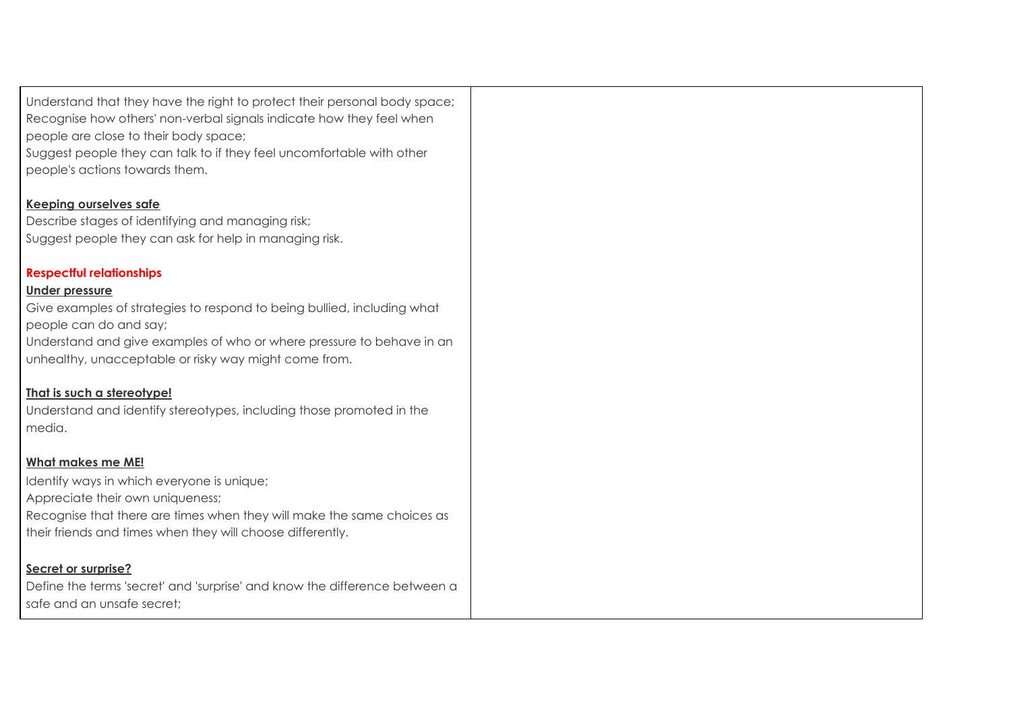Understand that they have the right to protect their personal body space; Recognise how others' non-verbal signals indicate how they feel when people are close to their body space;

Suggest people they can talk to if they feel uncomfortable with other people's actions towards them.

**Keeping ourselves safe**

Describe stages of identifying and managing risk; Suggest people they can ask for help in managing risk.

# **Respectful relationships**

# **Under pressure**

Give examples of strategies to respond to being bullied, including what people can do and say;

Understand and give examples of who or where pressure to behave in an unhealthy, unacceptable or risky way might come from.

# **That is such a stereotype!**

Understand and identify stereotypes, including those promoted in the media.

# **What makes me ME!**

Identify ways in which everyone is unique;

Appreciate their own uniqueness;

Recognise that there are times when they will make the same choices as their friends and times when they will choose differently.

# **Secret or surprise?**

Define the terms 'secret' and 'surprise' and know the difference between a safe and an unsafe secret;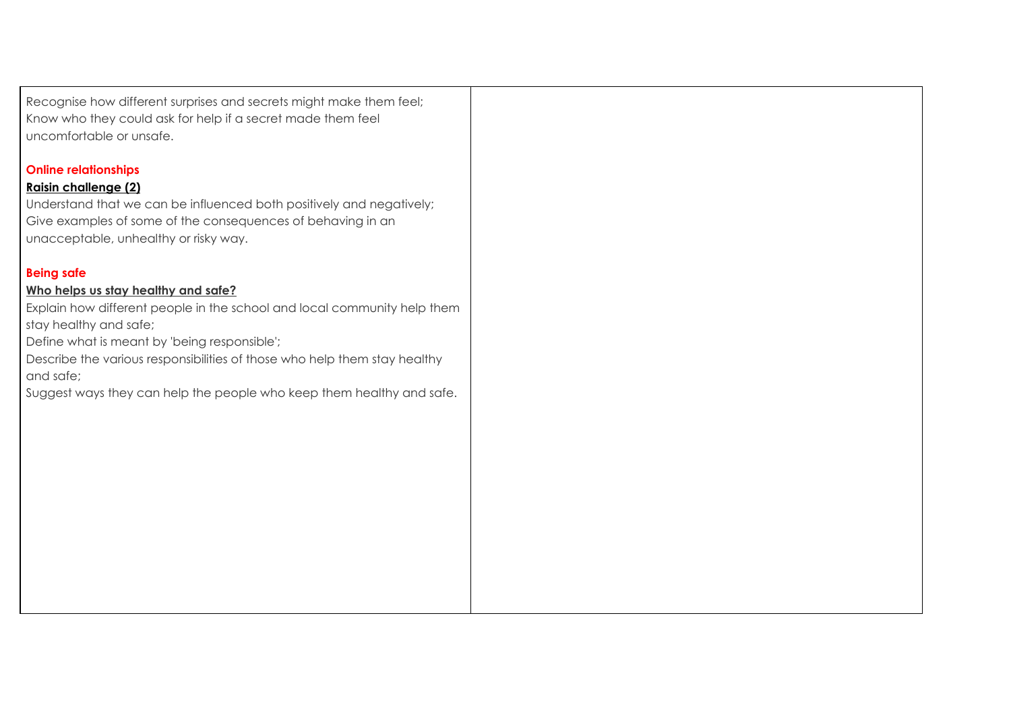Recognise how different surprises and secrets might make them feel; Know who they could ask for help if a secret made them feel uncomfortable or unsafe.

# **Online relationships**

# **Raisin challenge (2)**

Understand that we can be influenced both positively and negatively; Give examples of some of the consequences of behaving in an unacceptable, unhealthy or risky way.

## **Being safe**

#### **Who helps us stay healthy and safe?**

Explain how different people in the school and local community help them stay healthy and safe;

Define what is meant by 'being responsible';

Describe the various responsibilities of those who help them stay healthy and safe;

Suggest ways they can help the people who keep them healthy and safe.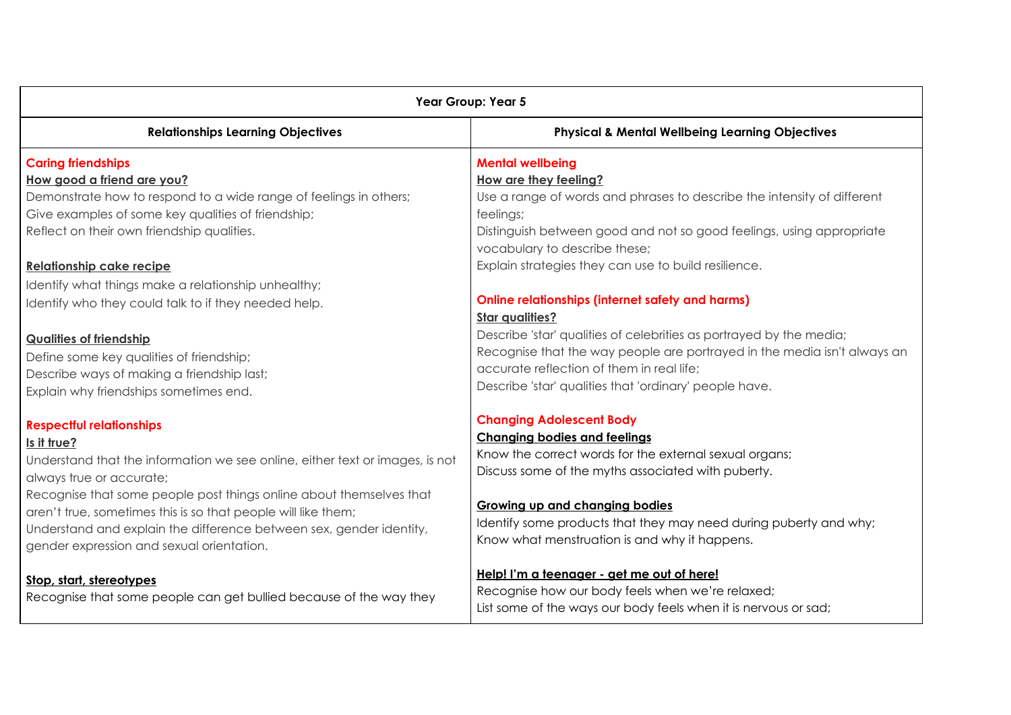| Year Group: Year 5                                                                                                                                                                                                                                                                                                                                                                                                     |                                                                                                                                                                                                                                                                                                                                                       |  |
|------------------------------------------------------------------------------------------------------------------------------------------------------------------------------------------------------------------------------------------------------------------------------------------------------------------------------------------------------------------------------------------------------------------------|-------------------------------------------------------------------------------------------------------------------------------------------------------------------------------------------------------------------------------------------------------------------------------------------------------------------------------------------------------|--|
| <b>Relationships Learning Objectives</b>                                                                                                                                                                                                                                                                                                                                                                               | <b>Physical &amp; Mental Wellbeing Learning Objectives</b>                                                                                                                                                                                                                                                                                            |  |
| <b>Caring friendships</b><br>How good a friend are you?                                                                                                                                                                                                                                                                                                                                                                | <b>Mental wellbeing</b><br>How are they feeling?                                                                                                                                                                                                                                                                                                      |  |
| Demonstrate how to respond to a wide range of feelings in others;<br>Give examples of some key qualities of friendship;<br>Reflect on their own friendship qualities.                                                                                                                                                                                                                                                  | Use a range of words and phrases to describe the intensity of different<br>feelings;<br>Distinguish between good and not so good feelings, using appropriate                                                                                                                                                                                          |  |
| <b>Relationship cake recipe</b><br>Identify what things make a relationship unhealthy;<br>Identify who they could talk to if they needed help.                                                                                                                                                                                                                                                                         | vocabulary to describe these;<br>Explain strategies they can use to build resilience.<br><b>Online relationships (internet safety and harms)</b>                                                                                                                                                                                                      |  |
| <b>Qualities of friendship</b><br>Define some key qualities of friendship;<br>Describe ways of making a friendship last;<br>Explain why friendships sometimes end.                                                                                                                                                                                                                                                     | <b>Star qualities?</b><br>Describe 'star' qualities of celebrities as portrayed by the media;<br>Recognise that the way people are portrayed in the media isn't always an<br>accurate reflection of them in real life;<br>Describe 'star' qualities that 'ordinary' people have.                                                                      |  |
| <b>Respectful relationships</b><br>Is it true?<br>Understand that the information we see online, either text or images, is not<br>always true or accurate;<br>Recognise that some people post things online about themselves that<br>aren't true, sometimes this is so that people will like them;<br>Understand and explain the difference between sex, gender identity,<br>gender expression and sexual orientation. | <b>Changing Adolescent Body</b><br><b>Changing bodies and feelings</b><br>Know the correct words for the external sexual organs;<br>Discuss some of the myths associated with puberty.<br><b>Growing up and changing bodies</b><br>Identify some products that they may need during puberty and why;<br>Know what menstruation is and why it happens. |  |
| Stop, start, stereotypes<br>Recognise that some people can get bullied because of the way they                                                                                                                                                                                                                                                                                                                         | Help! I'm a teenager - get me out of here!<br>Recognise how our body feels when we're relaxed;<br>List some of the ways our body feels when it is nervous or sad;                                                                                                                                                                                     |  |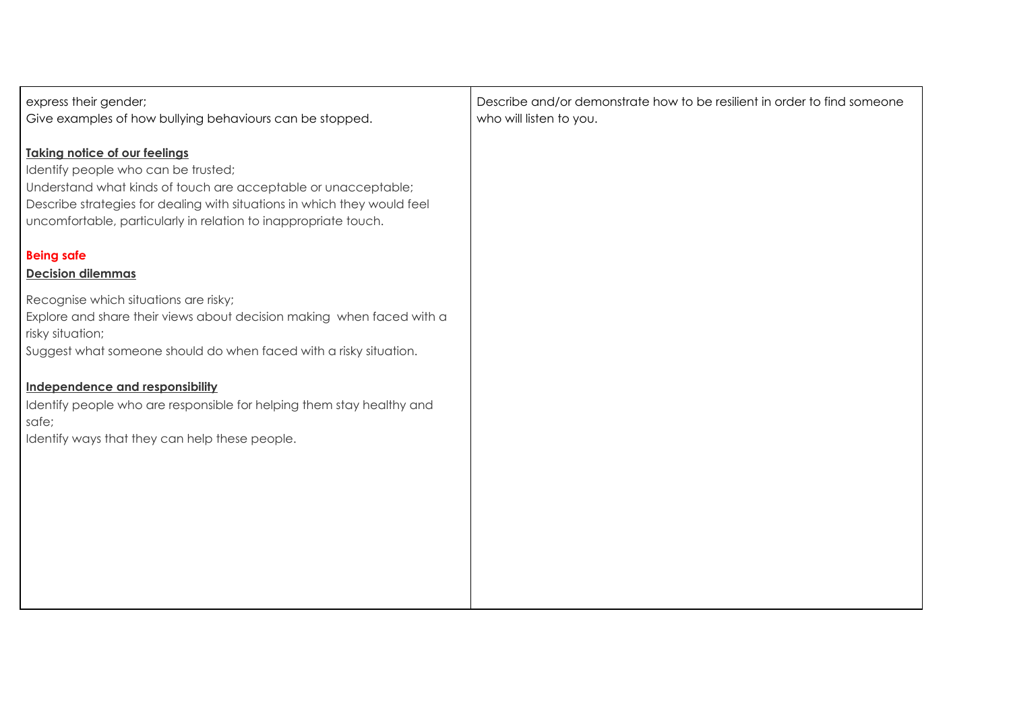| express their gender;<br>Give examples of how bullying behaviours can be stopped.                                                                                                                                                                                                            | Describe and/or demonstrate how to be resilient in order to find someone<br>who will listen to you. |
|----------------------------------------------------------------------------------------------------------------------------------------------------------------------------------------------------------------------------------------------------------------------------------------------|-----------------------------------------------------------------------------------------------------|
| <b>Taking notice of our feelings</b><br>Identify people who can be trusted;<br>Understand what kinds of touch are acceptable or unacceptable;<br>Describe strategies for dealing with situations in which they would feel<br>uncomfortable, particularly in relation to inappropriate touch. |                                                                                                     |
| <b>Being safe</b><br><b>Decision dilemmas</b>                                                                                                                                                                                                                                                |                                                                                                     |
| Recognise which situations are risky;<br>Explore and share their views about decision making when faced with a<br>risky situation;<br>Suggest what someone should do when faced with a risky situation.                                                                                      |                                                                                                     |
| Independence and responsibility<br>Identify people who are responsible for helping them stay healthy and<br>safe;<br>Identify ways that they can help these people.                                                                                                                          |                                                                                                     |
|                                                                                                                                                                                                                                                                                              |                                                                                                     |
|                                                                                                                                                                                                                                                                                              |                                                                                                     |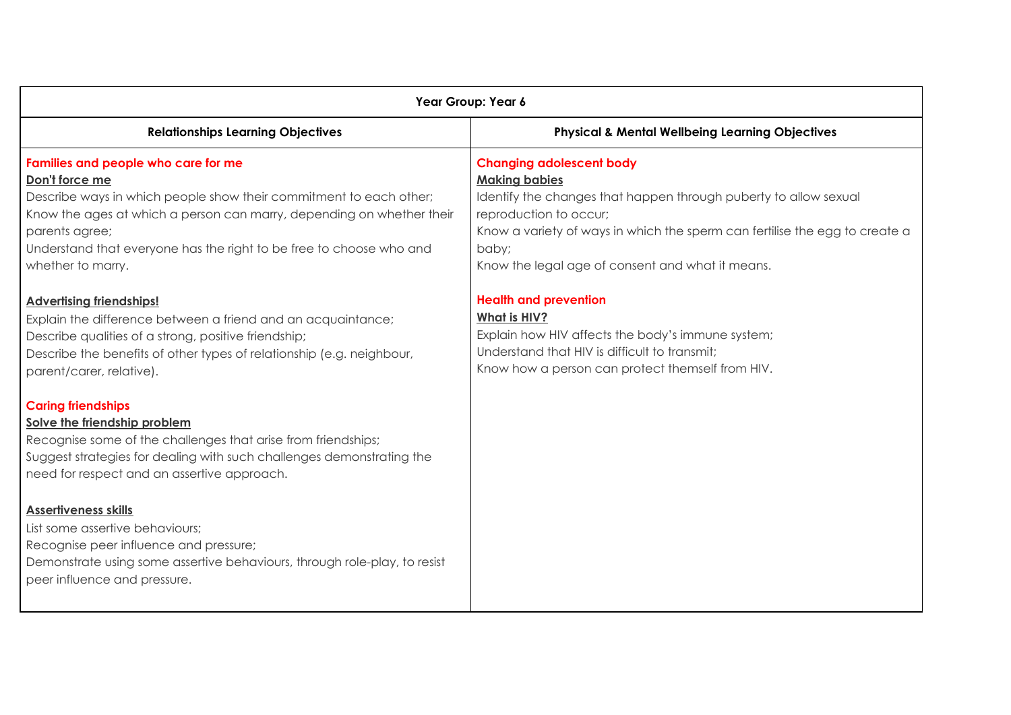| Year Group: Year 6                                                                                                                                                                                                                                                                                                 |                                                                                                                                                                                                                                                                                                   |  |
|--------------------------------------------------------------------------------------------------------------------------------------------------------------------------------------------------------------------------------------------------------------------------------------------------------------------|---------------------------------------------------------------------------------------------------------------------------------------------------------------------------------------------------------------------------------------------------------------------------------------------------|--|
| <b>Relationships Learning Objectives</b>                                                                                                                                                                                                                                                                           | <b>Physical &amp; Mental Wellbeing Learning Objectives</b>                                                                                                                                                                                                                                        |  |
| Families and people who care for me<br>Don't force me<br>Describe ways in which people show their commitment to each other;<br>Know the ages at which a person can marry, depending on whether their<br>parents agree;<br>Understand that everyone has the right to be free to choose who and<br>whether to marry. | <b>Changing adolescent body</b><br><b>Making babies</b><br>Identify the changes that happen through puberty to allow sexual<br>reproduction to occur;<br>Know a variety of ways in which the sperm can fertilise the egg to create a<br>baby;<br>Know the legal age of consent and what it means. |  |
| <b>Advertising friendships!</b><br>Explain the difference between a friend and an acquaintance;<br>Describe qualities of a strong, positive friendship;<br>Describe the benefits of other types of relationship (e.g. neighbour,<br>parent/carer, relative).                                                       | <b>Health and prevention</b><br>What is HIV?<br>Explain how HIV affects the body's immune system;<br>Understand that HIV is difficult to transmit;<br>Know how a person can protect themself from HIV.                                                                                            |  |
| <b>Caring friendships</b><br>Solve the friendship problem<br>Recognise some of the challenges that arise from friendships;<br>Suggest strategies for dealing with such challenges demonstrating the<br>need for respect and an assertive approach.                                                                 |                                                                                                                                                                                                                                                                                                   |  |
| <b>Assertiveness skills</b><br>List some assertive behaviours;<br>Recognise peer influence and pressure;<br>Demonstrate using some assertive behaviours, through role-play, to resist<br>peer influence and pressure.                                                                                              |                                                                                                                                                                                                                                                                                                   |  |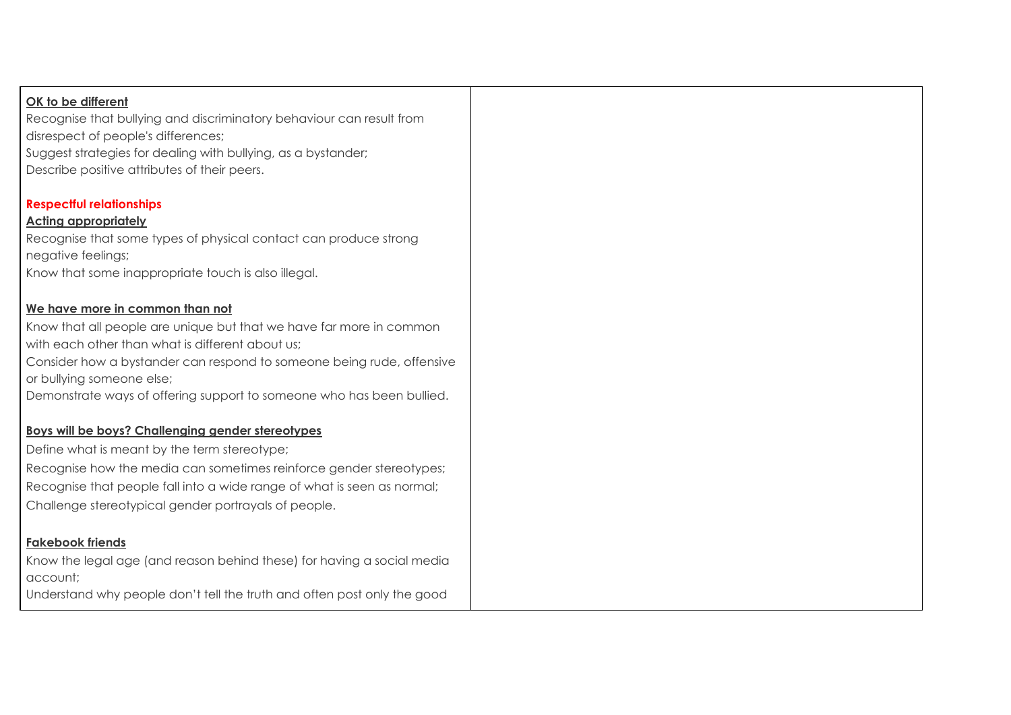#### **OK to be different**

Recognise that bullying and discriminatory behaviour can result from disrespect of people's differences; Suggest strategies for dealing with bullying, as a bystander; Describe positive attributes of their peers.

#### **Respectful relationships**

#### **Acting appropriately**

Recognise that some types of physical contact can produce strong negative feelings; Know that some inappropriate touch is also illegal.

#### **We have more in common than not**

Know that all people are unique but that we have far more in common with each other than what is different about us:

Consider how a bystander can respond to someone being rude, offensive or bullying someone else;

Demonstrate ways of offering support to someone who has been bullied.

#### **Boys will be boys? Challenging gender stereotypes**

Define what is meant by the term stereotype;

Recognise how the media can sometimes reinforce gender stereotypes; Recognise that people fall into a wide range of what is seen as normal; Challenge stereotypical gender portrayals of people.

#### **Fakebook friends**

Know the legal age (and reason behind these) for having a social media account;

Understand why people don't tell the truth and often post only the good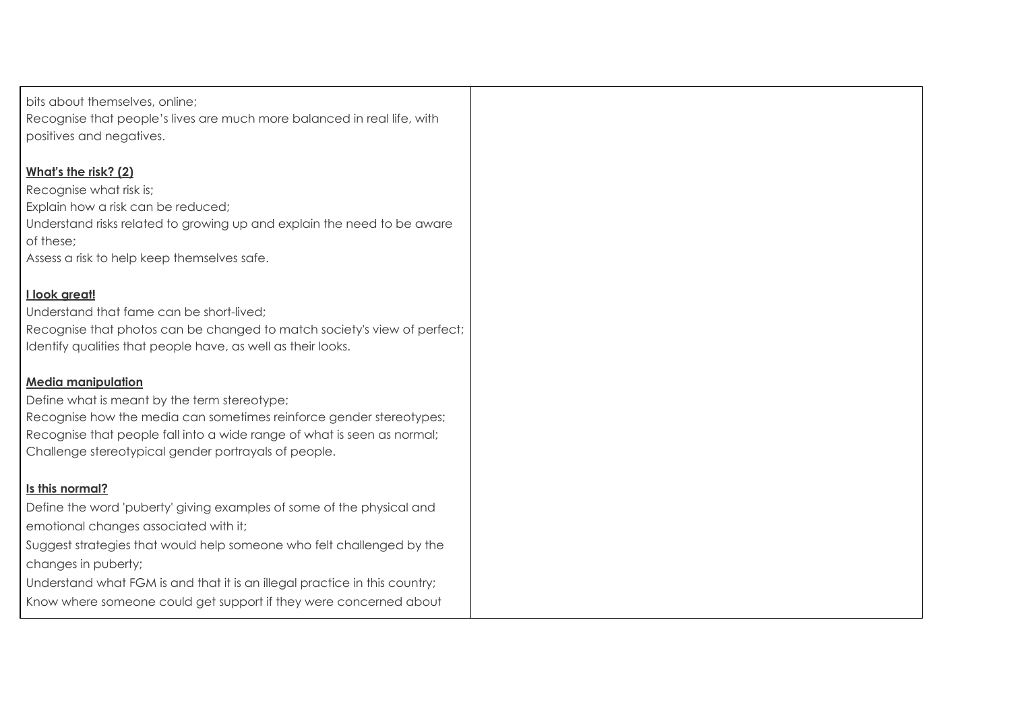| bits about themselves, online;                                             |  |
|----------------------------------------------------------------------------|--|
| Recognise that people's lives are much more balanced in real life, with    |  |
| positives and negatives.                                                   |  |
|                                                                            |  |
| What's the risk? (2)                                                       |  |
| Recognise what risk is;                                                    |  |
| Explain how a risk can be reduced;                                         |  |
| Understand risks related to growing up and explain the need to be aware    |  |
| of these;                                                                  |  |
| Assess a risk to help keep themselves safe.                                |  |
|                                                                            |  |
| I look great!                                                              |  |
| Understand that fame can be short-lived;                                   |  |
| Recognise that photos can be changed to match society's view of perfect;   |  |
| Identify qualities that people have, as well as their looks.               |  |
|                                                                            |  |
| <b>Media manipulation</b>                                                  |  |
| Define what is meant by the term stereotype;                               |  |
| Recognise how the media can sometimes reinforce gender stereotypes;        |  |
| Recognise that people fall into a wide range of what is seen as normal;    |  |
| Challenge stereotypical gender portrayals of people.                       |  |
|                                                                            |  |
| Is this normal?                                                            |  |
| Define the word 'puberty' giving examples of some of the physical and      |  |
| emotional changes associated with it;                                      |  |
| Suggest strategies that would help someone who felt challenged by the      |  |
| changes in puberty;                                                        |  |
| Understand what FGM is and that it is an illegal practice in this country; |  |
| Know where someone could get support if they were concerned about          |  |
|                                                                            |  |